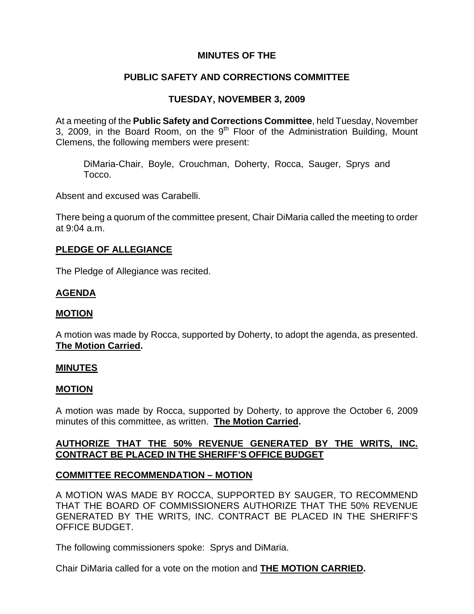## **MINUTES OF THE**

### **PUBLIC SAFETY AND CORRECTIONS COMMITTEE**

## **TUESDAY, NOVEMBER 3, 2009**

At a meeting of the **Public Safety and Corrections Committee**, held Tuesday, November 3, 2009, in the Board Room, on the  $9<sup>th</sup>$  Floor of the Administration Building, Mount Clemens, the following members were present:

DiMaria-Chair, Boyle, Crouchman, Doherty, Rocca, Sauger, Sprys and Tocco.

Absent and excused was Carabelli.

There being a quorum of the committee present, Chair DiMaria called the meeting to order at 9:04 a.m.

### **PLEDGE OF ALLEGIANCE**

The Pledge of Allegiance was recited.

### **AGENDA**

#### **MOTION**

A motion was made by Rocca, supported by Doherty, to adopt the agenda, as presented. **The Motion Carried.** 

#### **MINUTES**

#### **MOTION**

A motion was made by Rocca, supported by Doherty, to approve the October 6, 2009 minutes of this committee, as written. **The Motion Carried.** 

## **AUTHORIZE THAT THE 50% REVENUE GENERATED BY THE WRITS, INC. CONTRACT BE PLACED IN THE SHERIFF'S OFFICE BUDGET**

#### **COMMITTEE RECOMMENDATION – MOTION**

A MOTION WAS MADE BY ROCCA, SUPPORTED BY SAUGER, TO RECOMMEND THAT THE BOARD OF COMMISSIONERS AUTHORIZE THAT THE 50% REVENUE GENERATED BY THE WRITS, INC. CONTRACT BE PLACED IN THE SHERIFF'S OFFICE BUDGET.

The following commissioners spoke: Sprys and DiMaria.

Chair DiMaria called for a vote on the motion and **THE MOTION CARRIED.**